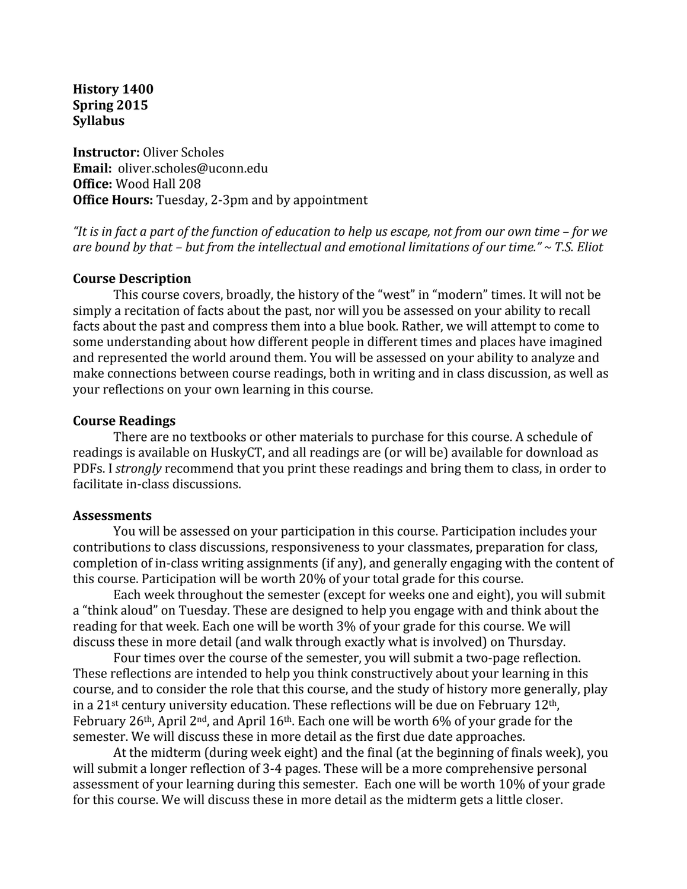**History 1400 Spring 2015 Syllabus**

**Instructor:** Oliver Scholes **Email:**  oliver.scholes@uconn.edu **Office:** Wood Hall 208 **Office Hours:** Tuesday, 2-3pm and by appointment

"It is in fact a part of the function of education to help us escape, not from our own time – for we are bound by that – but from the intellectual and emotional limitations of our time." ~ T.S. Eliot

#### **Course Description**

This course covers, broadly, the history of the "west" in "modern" times. It will not be simply a recitation of facts about the past, nor will you be assessed on your ability to recall facts about the past and compress them into a blue book. Rather, we will attempt to come to some understanding about how different people in different times and places have imagined and represented the world around them. You will be assessed on your ability to analyze and make connections between course readings, both in writing and in class discussion, as well as your reflections on your own learning in this course.

#### **Course Readings**

There are no textbooks or other materials to purchase for this course. A schedule of readings is available on HuskyCT, and all readings are (or will be) available for download as PDFs. I *strongly* recommend that you print these readings and bring them to class, in order to facilitate in-class discussions.

#### **Assessments**

You will be assessed on your participation in this course. Participation includes your contributions to class discussions, responsiveness to your classmates, preparation for class, completion of in-class writing assignments (if any), and generally engaging with the content of this course. Participation will be worth 20% of your total grade for this course.

Each week throughout the semester (except for weeks one and eight), you will submit a "think aloud" on Tuesday. These are designed to help you engage with and think about the reading for that week. Each one will be worth 3% of your grade for this course. We will discuss these in more detail (and walk through exactly what is involved) on Thursday.

Four times over the course of the semester, you will submit a two-page reflection. These reflections are intended to help you think constructively about your learning in this course, and to consider the role that this course, and the study of history more generally, play in a  $21$ <sup>st</sup> century university education. These reflections will be due on February  $12$ <sup>th</sup>, February 26<sup>th</sup>, April 2<sup>nd</sup>, and April 16<sup>th</sup>. Each one will be worth 6% of your grade for the semester. We will discuss these in more detail as the first due date approaches.

At the midterm (during week eight) and the final (at the beginning of finals week), you will submit a longer reflection of 3-4 pages. These will be a more comprehensive personal assessment of your learning during this semester. Each one will be worth 10% of your grade for this course. We will discuss these in more detail as the midterm gets a little closer.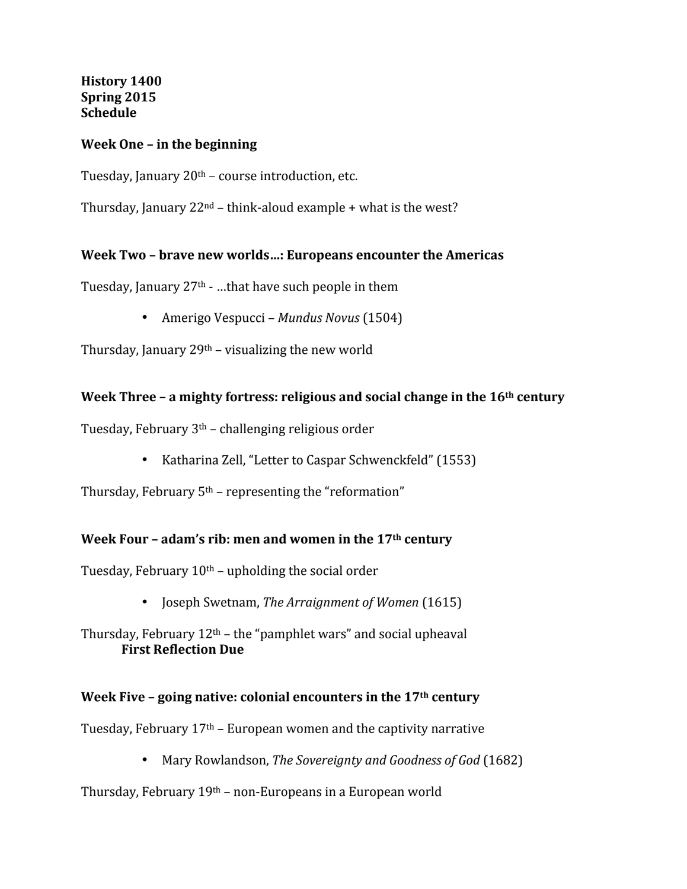**History 1400 Spring 2015 Schedule**

#### **Week One - in the beginning**

Tuesday, January  $20<sup>th</sup>$  – course introduction, etc.

Thursday, January  $22^{nd}$  – think-aloud example + what is the west?

#### Week Two - brave new worlds...: Europeans encounter the Americas

Tuesday, January  $27<sup>th</sup>$  - ...that have such people in them

• Amerigo Vespucci – *Mundus Novus* (1504)

Thursday, January  $29<sup>th</sup>$  – visualizing the new world

#### **Week Three – a mighty fortress: religious and social change in the 16<sup>th</sup> century**

Tuesday, February  $3<sup>th</sup>$  – challenging religious order

• Katharina Zell, "Letter to Caspar Schwenckfeld" (1553)

Thursday, February  $5<sup>th</sup>$  – representing the "reformation"

#### **Week Four - adam's rib: men and women in the 17<sup>th</sup> century**

Tuesday, February  $10<sup>th</sup>$  – upholding the social order

- **Joseph Swetnam,** *The Arraignment of Women* (1615)
- Thursday, February  $12<sup>th</sup>$  the "pamphlet wars" and social upheaval **First Reflection Due**

#### **Week Five – going native: colonial encounters in the 17<sup>th</sup> century**

Tuesday, February  $17<sup>th</sup>$  – European women and the captivity narrative

• Mary Rowlandson, *The Sovereignty and Goodness of God* (1682)

Thursday, February  $19<sup>th</sup>$  – non-Europeans in a European world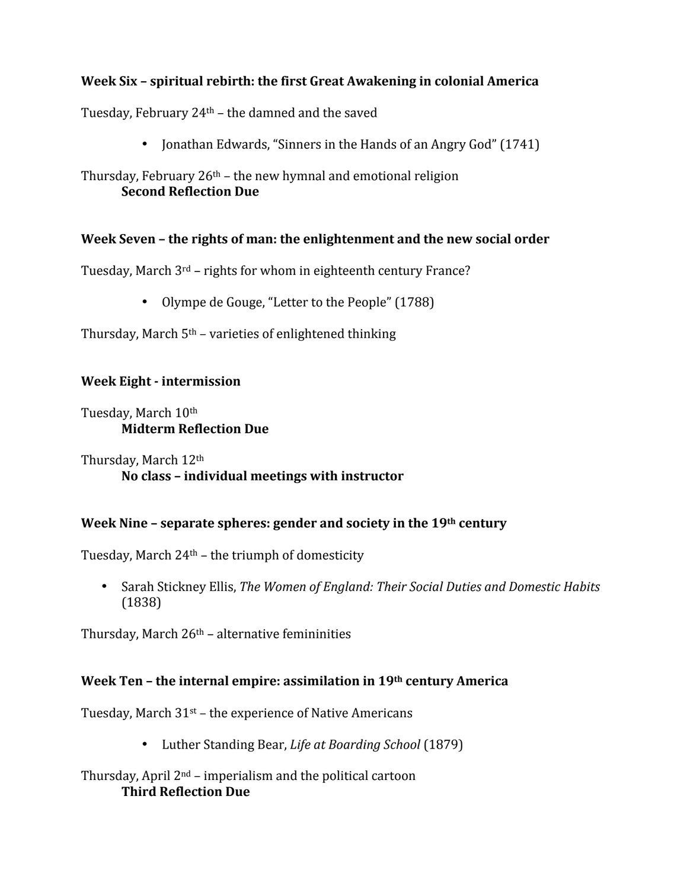# Week Six – spiritual rebirth: the first Great Awakening in colonial America

Tuesday, February  $24<sup>th</sup>$  – the damned and the saved

• Jonathan Edwards, "Sinners in the Hands of an Angry God" (1741)

Thursday, February  $26<sup>th</sup>$  – the new hymnal and emotional religion **Second Reflection Due** 

## Week Seven – the rights of man: the enlightenment and the new social order

Tuesday, March  $3^{rd}$  – rights for whom in eighteenth century France?

• Olympe de Gouge, "Letter to the People" (1788)

Thursday, March  $5<sup>th</sup>$  – varieties of enlightened thinking

## **Week Eight - intermission**

Tuesday, March 10<sup>th</sup> **Midterm Reflection Due**

Thursday, March  $12<sup>th</sup>$ No class - individual meetings with instructor

## Week Nine - separate spheres: gender and society in the 19<sup>th</sup> century

Tuesday, March  $24<sup>th</sup>$  – the triumph of domesticity

• Sarah Stickney Ellis, *The Women of England: Their Social Duties and Domestic Habits* (1838)

Thursday, March  $26<sup>th</sup>$  – alternative femininities

## **Week Ten – the internal empire: assimilation in 19th century America**

Tuesday, March  $31<sup>st</sup>$  – the experience of Native Americans

• Luther Standing Bear, *Life at Boarding School* (1879)

## Thursday, April  $2<sup>nd</sup>$  – imperialism and the political cartoon **Third Reflection Due**